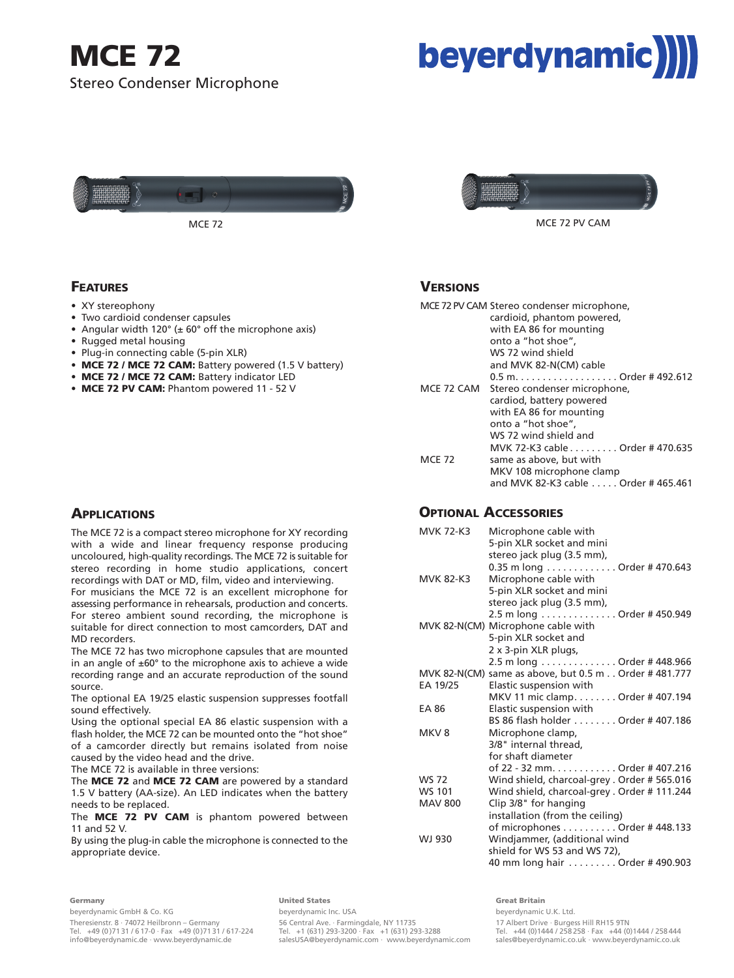## **MCE 72** Stereo Condenser Microphone





• Angular width 120 $^{\circ}$  ( $\pm$  60 $^{\circ}$  off the microphone axis)

• **MCE 72 / MCE 72 CAM:** Battery indicator LED • **MCE 72 PV CAM:** Phantom powered 11 - 52 V

• **MCE 72 / MCE 72 CAM:** Battery powered (1.5 V battery)



MCE 72 PV CAM

#### **VERSIONS**

|               | MCE 72 PV CAM Stereo condenser microphone,<br>cardioid, phantom powered,<br>with EA 86 for mounting<br>onto a "hot shoe", |
|---------------|---------------------------------------------------------------------------------------------------------------------------|
|               | WS 72 wind shield                                                                                                         |
|               | and MVK 82-N(CM) cable                                                                                                    |
|               | $0.5$ m Order # 492.612                                                                                                   |
| MCE 72 CAM    | Stereo condenser microphone,                                                                                              |
|               | cardiod, battery powered                                                                                                  |
|               | with EA 86 for mounting                                                                                                   |
|               | onto a "hot shoe",                                                                                                        |
|               | WS 72 wind shield and                                                                                                     |
|               | MVK 72-K3 cable Order # 470.635                                                                                           |
| <b>MCE 72</b> | same as above, but with                                                                                                   |
|               | MKV 108 microphone clamp                                                                                                  |
|               | and MVK 82-K3 cable Order # 465.461                                                                                       |

#### **OPTIONAL ACCESSORIES**

| <b>MVK 72-K3</b> | Microphone cable with<br>5-pin XLR socket and mini<br>stereo jack plug (3.5 mm), |
|------------------|----------------------------------------------------------------------------------|
|                  | 0.35 m long Order # 470.643                                                      |
| <b>MVK 82-K3</b> | Microphone cable with                                                            |
|                  | 5-pin XLR socket and mini<br>stereo jack plug (3.5 mm),                          |
|                  | 2.5 m long Order # 450.949                                                       |
|                  | MVK 82-N(CM) Microphone cable with                                               |
|                  | 5-pin XLR socket and                                                             |
|                  | 2 x 3-pin XLR plugs,                                                             |
|                  | 2.5 m long Order # 448.966                                                       |
|                  | MVK 82-N(CM) same as above, but 0.5 m Order #481.777                             |
| EA 19/25         | Elastic suspension with                                                          |
|                  | MKV 11 mic clamp. Order # 407.194                                                |
| EA 86            | Elastic suspension with                                                          |
|                  | BS 86 flash holder Order # 407.186                                               |
| MKV <sub>8</sub> | Microphone clamp,                                                                |
|                  | 3/8" internal thread.                                                            |
|                  | for shaft diameter                                                               |
|                  | of 22 - 32 mm. Order # 407.216                                                   |
| <b>WS 72</b>     | Wind shield, charcoal-grey . Order #565.016                                      |
| <b>WS 101</b>    | Wind shield, charcoal-grey . Order #111.244                                      |
| <b>MAV 800</b>   | Clip 3/8" for hanging                                                            |
|                  | installation (from the ceiling)                                                  |
|                  | of microphones $\ldots \ldots \ldots$ Order # 448.133                            |
| WJ 930           | Windjammer, (additional wind<br>shield for WS 53 and WS 72),                     |
|                  | 40 mm long hair Order # 490.903                                                  |
|                  |                                                                                  |

### **APPLICATIONS**

**FEATURES** • XY stereophony

• Two cardioid condenser capsules

• Plug-in connecting cable (5-pin XLR)

• Rugged metal housing

The MCE 72 is a compact stereo microphone for XY recording with a wide and linear frequency response producing uncoloured, high-quality recordings. The MCE 72 is suitable for stereo recording in home studio applications, concert recordings with DAT or MD, film, video and interviewing.

For musicians the MCE 72 is an excellent microphone for assessing performance in rehearsals, production and concerts. For stereo ambient sound recording, the microphone is suitable for direct connection to most camcorders, DAT and MD recorders.

Using the optional special EA 86 elastic suspension with a flash holder, the MCE 72 can be mounted onto the "hot shoe" of a camcorder directly but remains isolated from noise caused by the video head and the drive.

The **MCE 72** and **MCE 72 CAM** are powered by a standard 1.5 V battery (AA-size). An LED indicates when the battery needs to be replaced.

The **MCE 72 PV CAM** is phantom powered between 11 and 52 V.

By using the plug-in cable the microphone is connected to the appropriate device.

#### **Germany**

beyerdynamic GmbH & Co. KG Theresienstr. 8 · 74072 Heilbronn – Germany Tel. +49 (0 )71 31 / 6 17-0 · Fax +49 (0 )71 31 / 617-224 info@beyerdynamic.de · www.beyerdynamic.de

#### **United States**

beyerdynamic Inc. USA 56 Central Ave. · Farmingdale, NY 11735 Tel. +1 (631) 293-3200 · Fax +1 (631) 293-3288 salesUSA@beyerdynamic.com · www.beyerdynamic.com

**Great Britain** beyerdynamic U.K. Ltd. 17 Albert Drive · Burgess Hill RH15 9TN Tel. +44 (0)1444 / 258 258 · Fax +44 (0)1444 / 258 444 sales@beyerdynamic.co.uk · www.beyerdynamic.co.uk

The MCE 72 has two microphone capsules that are mounted in an angle of  $\pm 60^\circ$  to the microphone axis to achieve a wide recording range and an accurate reproduction of the sound source.

The optional EA 19/25 elastic suspension suppresses footfall sound effectively.

The MCE 72 is available in three versions: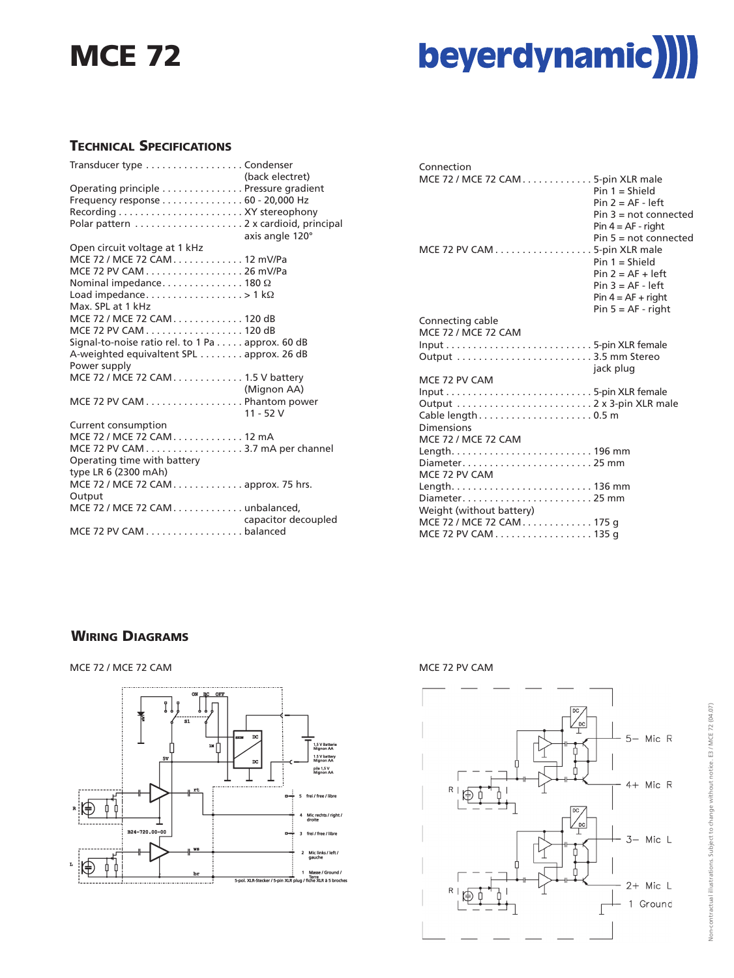## **MCE 72**



#### **TECHNICAL SPECIFICATIONS**

| Transducer type Condenser                        |                     |
|--------------------------------------------------|---------------------|
|                                                  | (back electret)     |
| Operating principle Pressure gradient            |                     |
| Frequency response 60 - 20,000 Hz                |                     |
|                                                  |                     |
|                                                  |                     |
|                                                  | axis angle 120°     |
| Open circuit voltage at 1 kHz                    |                     |
| MCE 72 / MCE 72 CAM 12 mV/Pa                     |                     |
| MCE 72 PV CAM 26 mV/Pa                           |                     |
| Nominal impedance 180 $\Omega$                   |                     |
| Load impedance>1 k $\Omega$                      |                     |
| Max. SPL at 1 kHz                                |                     |
| MCE 72 / MCE 72 CAM 120 dB                       |                     |
| MCE 72 PV CAM 120 dB                             |                     |
| Signal-to-noise ratio rel. to 1 Pa approx. 60 dB |                     |
| A-weighted equivaltent SPL approx. 26 dB         |                     |
| Power supply                                     |                     |
| MCE 72 / MCE 72 CAM. 1.5 V battery               |                     |
|                                                  | (Mignon AA)         |
| MCE 72 PV CAM Phantom power                      |                     |
|                                                  | $11 - 52V$          |
| Current consumption                              |                     |
| MCE 72 / MCE 72 CAM 12 mA                        |                     |
| MCE 72 PV CAM 3.7 mA per channel                 |                     |
| Operating time with battery                      |                     |
| type LR 6 (2300 mAh)                             |                     |
| MCE 72 / MCE 72 CAM approx. 75 hrs.              |                     |
| Output                                           |                     |
| MCE 72 / MCE 72 CAM. unbalanced.                 |                     |
|                                                  | capacitor decoupled |
| MCE 72 PV CAM balanced                           |                     |
|                                                  |                     |

| Connection                         |                         |
|------------------------------------|-------------------------|
| MCE 72 / MCE 72 CAM 5-pin XLR male |                         |
|                                    | $Pin 1 = Shield$        |
|                                    | $Pin 2 = AF - left$     |
|                                    | $Pin 3 = not connected$ |
|                                    | $Pin 4 = AF - right$    |
|                                    | Pin $5 = not connected$ |
| MCE 72 PV CAM 5-pin XLR male       |                         |
|                                    | $Pin 1 = Shield$        |
|                                    | $Pin 2 = AF + left$     |
|                                    | $Pin 3 = AF - left$     |
|                                    | $Pin 4 = AF + right$    |
|                                    | $Pin 5 = AF - right$    |
| Connecting cable                   |                         |
| <b>MCE 72 / MCE 72 CAM</b>         |                         |
|                                    |                         |
|                                    |                         |
|                                    | jack plug               |
| MCE 72 PV CAM                      |                         |
|                                    |                         |
|                                    |                         |
| Cable length0.5 m<br>Dimensions    |                         |
|                                    |                         |
| <b>MCE 72 / MCE 72 CAM</b>         |                         |
| Diameter25 mm                      |                         |
| MCE 72 PV CAM                      |                         |
|                                    |                         |
| Diameter25 mm                      |                         |
| Weight (without battery)           |                         |
| MCE 72 / MCE 72 CAM 175 q          |                         |
| MCE 72 PV CAM 135 g                |                         |
|                                    |                         |

#### **WIRING DIAGRAMS**

#### MCE 72 / MCE 72 CAM MCE 72 PV CAM